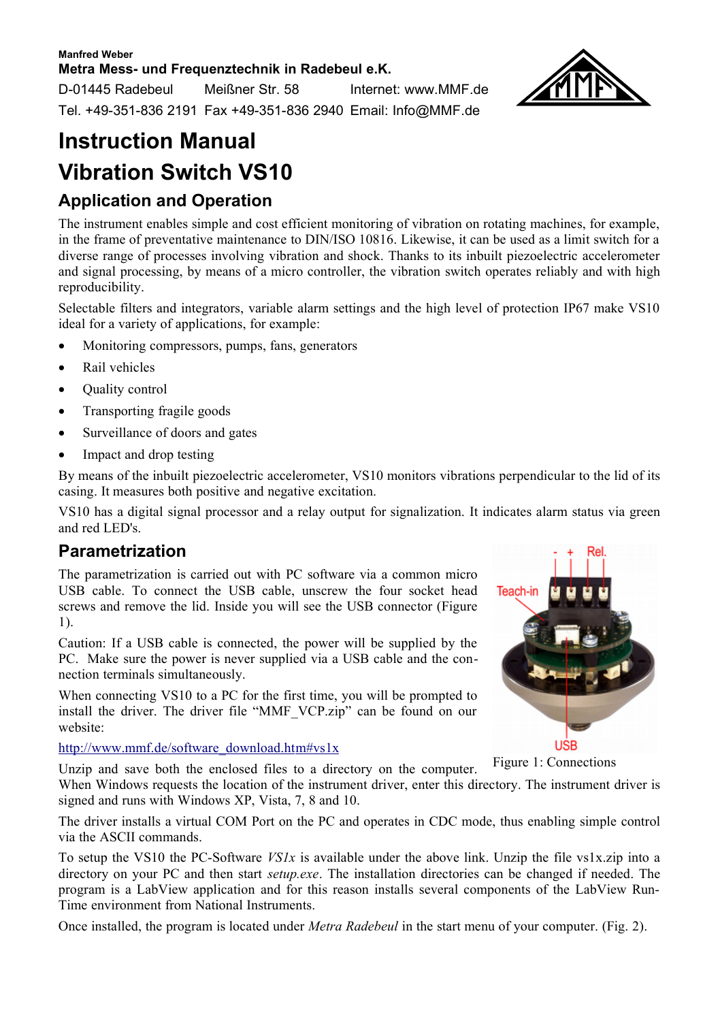#### **Manfred Weber Metra Mess- und Frequenztechnik in Radebeul e.K.**

D-01445 Radebeul Meißner Str. 58 Internet: www.MMF.de Tel. +49-351-836 2191 Fax +49-351-836 2940 Email: Info@MMF.de



# **Instruction Manual Vibration Switch VS10**

### **Application and Operation**

The instrument enables simple and cost efficient monitoring of vibration on rotating machines, for example, in the frame of preventative maintenance to DIN/ISO 10816. Likewise, it can be used as a limit switch for a diverse range of processes involving vibration and shock. Thanks to its inbuilt piezoelectric accelerometer and signal processing, by means of a micro controller, the vibration switch operates reliably and with high reproducibility.

Selectable filters and integrators, variable alarm settings and the high level of protection IP67 make VS10 ideal for a variety of applications, for example:

- Monitoring compressors, pumps, fans, generators
- Rail vehicles
- **Ouality** control
- · Transporting fragile goods
- Surveillance of doors and gates
- Impact and drop testing

By means of the inbuilt piezoelectric accelerometer, VS10 monitors vibrations perpendicular to the lid of its casing. It measures both positive and negative excitation.

VS10 has a digital signal processor and a relay output for signalization. It indicates alarm status via green and red LED's.

#### **Parametrization**

The parametrization is carried out with PC software via a common micro USB cable. To connect the USB cable, unscrew the four socket head screws and remove the lid. Inside you will see the USB connector (Figure [1\)](#page-0-0).

Caution: If a USB cable is connected, the power will be supplied by the PC. Make sure the power is never supplied via a USB cable and the connection terminals simultaneously.

When connecting VS10 to a PC for the first time, you will be prompted to install the driver. The driver file "MMF\_VCP.zip" can be found on our website:

http://www.mmf.de/software\_download.htm#vs1x

<span id="page-0-0"></span>

Figure 1: Connections

Unzip and save both the enclosed files to a directory on the computer. When Windows requests the location of the instrument driver, enter this directory. The instrument driver is signed and runs with Windows XP, Vista, 7, 8 and 10.

The driver installs a virtual COM Port on the PC and operates in CDC mode, thus enabling simple control via the ASCII commands.

To setup the VS10 the PC-Software *VS1x* is available under the above link. Unzip the file vs1x.zip into a directory on your PC and then start *setup.exe*. The installation directories can be changed if needed. The program is a LabView application and for this reason installs several components of the LabView Run-Time environment from National Instruments.

Once installed, the program is located under *Metra Radebeul* in the start menu of your computer. (Fig. [2\)](#page-1-0).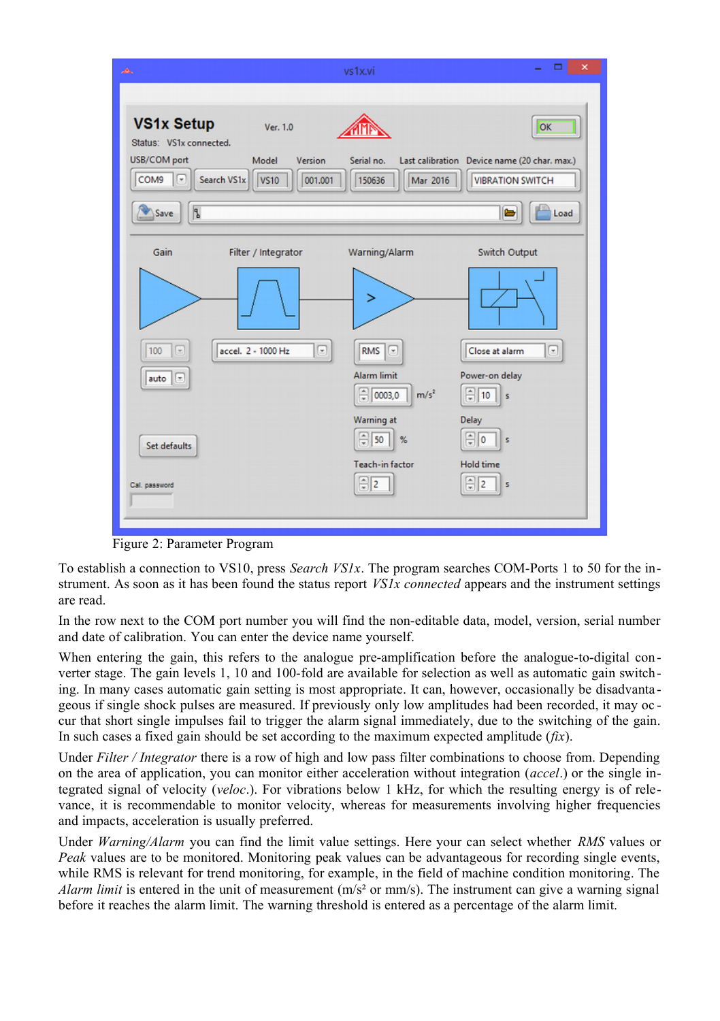

<span id="page-1-0"></span>Figure 2: Parameter Program

To establish a connection to VS10, press *Search VS1x*. The program searches COM-Ports 1 to 50 for the instrument. As soon as it has been found the status report *VS1x connected* appears and the instrument settings are read.

In the row next to the COM port number you will find the non-editable data, model, version, serial number and date of calibration. You can enter the device name yourself.

When entering the gain, this refers to the analogue pre-amplification before the analogue-to-digital converter stage. The gain levels 1, 10 and 100-fold are available for selection as well as automatic gain switching. In many cases automatic gain setting is most appropriate. It can, however, occasionally be disadvanta geous if single shock pulses are measured. If previously only low amplitudes had been recorded, it may oc cur that short single impulses fail to trigger the alarm signal immediately, due to the switching of the gain. In such cases a fixed gain should be set according to the maximum expected amplitude (*fix*).

Under *Filter / Integrator* there is a row of high and low pass filter combinations to choose from. Depending on the area of application, you can monitor either acceleration without integration (*accel*.) or the single integrated signal of velocity (*veloc*.). For vibrations below 1 kHz, for which the resulting energy is of relevance, it is recommendable to monitor velocity, whereas for measurements involving higher frequencies and impacts, acceleration is usually preferred.

Under *Warning/Alarm* you can find the limit value settings. Here your can select whether *RMS* values or *Peak* values are to be monitored. Monitoring peak values can be advantageous for recording single events, while RMS is relevant for trend monitoring, for example, in the field of machine condition monitoring. The *Alarm limit* is entered in the unit of measurement  $(m/s<sup>2</sup>$  or mm/s). The instrument can give a warning signal before it reaches the alarm limit. The warning threshold is entered as a percentage of the alarm limit.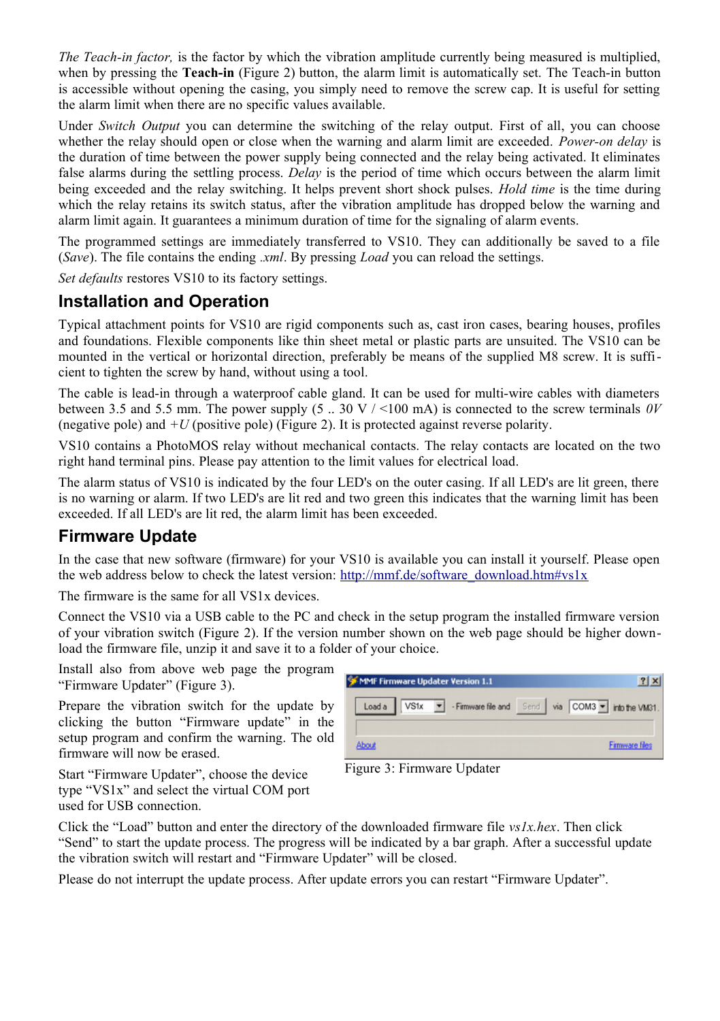*The Teach-in factor,* is the factor by which the vibration amplitude currently being measured is multiplied. when by pressing the **Teach-in** (Figure [2\)](#page-1-0) button, the alarm limit is automatically set. The Teach-in button is accessible without opening the casing, you simply need to remove the screw cap. It is useful for setting the alarm limit when there are no specific values available.

Under *Switch Output* you can determine the switching of the relay output. First of all, you can choose whether the relay should open or close when the warning and alarm limit are exceeded. *Power-on delay* is the duration of time between the power supply being connected and the relay being activated. It eliminates false alarms during the settling process. *Delay* is the period of time which occurs between the alarm limit being exceeded and the relay switching. It helps prevent short shock pulses. *Hold time* is the time during which the relay retains its switch status, after the vibration amplitude has dropped below the warning and alarm limit again. It guarantees a minimum duration of time for the signaling of alarm events.

The programmed settings are immediately transferred to VS10. They can additionally be saved to a file (*Save*). The file contains the ending *.xml*. By pressing *Load* you can reload the settings.

*Set defaults* restores VS10 to its factory settings.

#### **Installation and Operation**

Typical attachment points for VS10 are rigid components such as, cast iron cases, bearing houses, profiles and foundations. Flexible components like thin sheet metal or plastic parts are unsuited. The VS10 can be mounted in the vertical or horizontal direction, preferably be means of the supplied M8 screw. It is sufficient to tighten the screw by hand, without using a tool.

The cable is lead-in through a waterproof cable gland. It can be used for multi-wire cables with diameters between 3.5 and 5.5 mm. The power supply (5 .. 30 V / <100 mA) is connected to the screw terminals *0V* (negative pole) and  $+U$  (positive pole) (Figure [2\)](#page-1-0). It is protected against reverse polarity.

VS10 contains a PhotoMOS relay without mechanical contacts. The relay contacts are located on the two right hand terminal pins. Please pay attention to the limit values for electrical load.

The alarm status of VS10 is indicated by the four LED's on the outer casing. If all LED's are lit green, there is no warning or alarm. If two LED's are lit red and two green this indicates that the warning limit has been exceeded. If all LED's are lit red, the alarm limit has been exceeded.

#### **Firmware Update**

In the case that new software (firmware) for your VS10 is available you can install it yourself. Please open the web address below to check the latest version: [http://mmf.de/software\\_download.htm#vs1x](http://mmf.de/software_download.htm#vs1x)

The firmware is the same for all VS1x devices.

Connect the VS10 via a USB cable to the PC and check in the setup program the installed firmware version of your vibration switch (Figure [2\)](#page-1-0). If the version number shown on the web page should be higher download the firmware file, unzip it and save it to a folder of your choice.

Install also from above web page the program "Firmware Updater" (Figure [3\)](#page-2-0).

Prepare the vibration switch for the update by clicking the button "Firmware update" in the setup program and confirm the warning. The old firmware will now be erased.

| MMF Firmware Updater Version 1.1 |                                                                |
|----------------------------------|----------------------------------------------------------------|
|                                  | Load a VS1x - Firmware file and Send via COM3 - into the VM31. |
| About                            | <b>Firmware files</b>                                          |

<span id="page-2-0"></span>Figure 3: Firmware Updater

Click the "Load" button and enter the directory of the downloaded firmware file *vs1x.hex*. Then click "Send" to start the update process. The progress will be indicated by a bar graph. After a successful update the vibration switch will restart and "Firmware Updater" will be closed.

Please do not interrupt the update process. After update errors you can restart "Firmware Updater".

Start "Firmware Updater", choose the device type "VS1x" and select the virtual COM port used for USB connection.